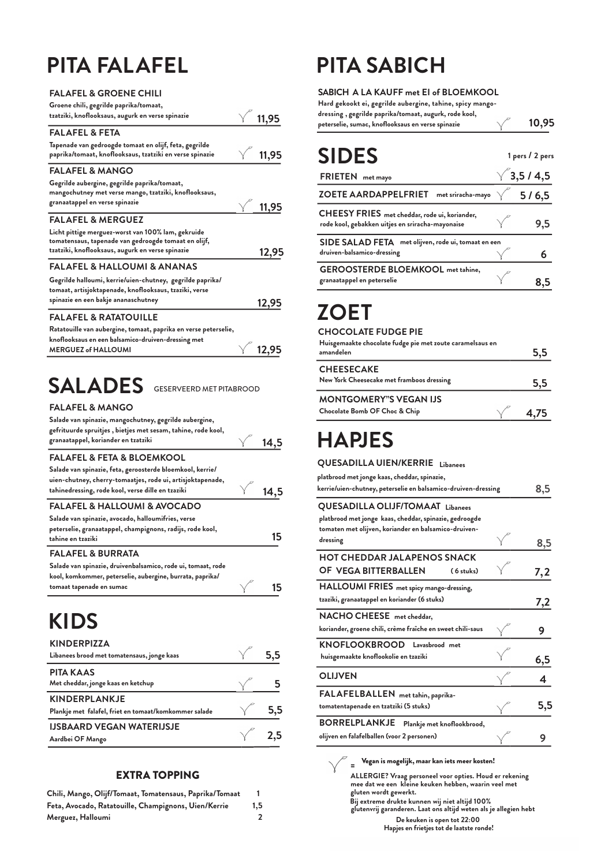### **PITA FALAFEL**

| <b>FALAFEL &amp; GROENE CHILI</b>                               |       |
|-----------------------------------------------------------------|-------|
|                                                                 |       |
| Groene chili, gegrilde paprika/tomaat,                          |       |
| tzatziki, knoflooksaus, augurk en verse spinazie<br>11,95       |       |
| <b>FALAFEL &amp; FETA</b>                                       |       |
| Tapenade van gedroogde tomaat en olijf, feta, gegrilde          |       |
| paprika/tomaat, knoflooksaus, tzatziki en verse spinazie        | 11,95 |
| <b>FALAFEL &amp; MANGO</b>                                      |       |
| Gegrilde aubergine, gegrilde paprika/tomaat,                    |       |
| mangochutney met verse mango, tzatziki, knoflooksaus,           |       |
| granaatappel en verse spinazie                                  | 11,95 |
| <b>FALAFEL &amp; MERGUEZ</b>                                    |       |
| Licht pittige merguez-worst van 100% lam, gekruide              |       |
| tomatensaus, tapenade van gedroogde tomaat en olijf,            |       |
| tzatziki, knoflooksaus, augurk en verse spinazie                | 12,95 |
| <b>FALAFEL &amp; HALLOUMI &amp; ANANAS</b>                      |       |
| Gegrilde halloumi, kerrie/uien-chutney, gegrilde paprika/       |       |
| tomaat, artisjoktapenade, knoflooksaus, tzaziki, verse          |       |
| spinazie en een bakje ananaschutney                             | 12,95 |
| FALAFEL & RATATOUILLE                                           |       |
| Ratatouille van aubergine, tomaat, paprika en verse peterselie, |       |
| knoflooksaus en een balsamico-druiven-dressing met              |       |
| <b>MERGUEZ of HALLOUMI</b>                                      | 12,95 |
|                                                                 |       |
| $\mathsf{SALADES}\;$ GESERVEERD MET PITABROOD                   |       |
| <b>FALAFEL &amp; MANGO</b>                                      |       |
| Salade van spinazie, mangochutney, gegrilde aubergine,          |       |
| gefrituurde spruitjes, bietjes met sesam, tahine, rode kool,    |       |
| granaatappel, koriander en tzatziki                             | 14,5  |
| FALAFEL & FETA & BLOEMKOOL                                      |       |
| Salade van spinazie, feta, geroosterde bloemkool, kerrie/       |       |
| uien-chutney, cherry-tomaatjes, rode ui, artisjoktapenade,      |       |
| tahinedressing, rode kool, verse dille en tzaziki               | 14,5  |
| <b>FALAFEL &amp; HALLOUMI &amp; AVOCADO</b>                     |       |
| Salade van spinazie, avocado, halloumifries, verse              |       |
| peterselie, granaatappel, champignons, radijs, rode kool,       |       |
| tahine en tzaziki                                               | 15    |

**FALAFEL & BURRATA 15 Salade van spinazie, druivenbalsamico, rode ui, tomaat, rode kool, komkommer, peterselie, aubergine, burrata, paprika/ tomaat tapenade en sumac**

#### **KIDS**

| <b>KINDERPIZZA</b><br>Libanees brood met tomatensaus, jonge kaas              |                |
|-------------------------------------------------------------------------------|----------------|
| <b>PITA KAAS</b><br>Met cheddar, jonge kaas en ketchup                        |                |
| <b>KINDERPLANKJE</b><br>Plankje met falafel, friet en tomaat/komkommer salade | 5.5            |
| <b>IJSBAARD VEGAN WATERIJSJE</b><br>Aardbei OF Mango                          | $\sqrt{ }$ 2.5 |

#### **EXTRA TOPPING**

| Chili, Mango, Olijf/Tomaat, Tomatensaus, Paprika/Tomaat |     |
|---------------------------------------------------------|-----|
| Feta, Avocado, Ratatouille, Champignons, Uien/Kerrie    | 1.5 |
| Merguez, Halloumi                                       |     |

## **PITA SABICH**

**SABICH A LA KAUFF met EI of BLOEMKOOL 10,95 Hard gekookt ei, gegrilde aubergine, tahine, spicy mangodressing , gegrilde paprika/tomaat, augurk, rode kool, peterselie, sumac, knoflooksaus en verse spinazie**

| <b>SIDES</b>                                                                                      | 1 pers / 2 pers  |
|---------------------------------------------------------------------------------------------------|------------------|
| <b>FRIETEN</b><br>met mayo                                                                        | $\sqrt{3,5/4,5}$ |
| met sriracha-mayo $\sqrt{5/6,}5$<br><b>ZOETE AARDAPPELFRIET</b>                                   |                  |
| CHEESY FRIES met cheddar, rode ui, koriander,<br>rode kool, gebakken uitjes en sriracha-mayonaise | 9,5              |
| SIDE SALAD FETA met olijven, rode ui, tomaat en een<br>druiven-balsamico-dressing                 | 6                |
| <b>GEROOSTERDE BLOEMKOOL</b> met tahine,<br>granaatappel en peterselie                            |                  |
|                                                                                                   |                  |

#### **ZOET**

#### **CHOCOLATE FUDGE PIE Huisgemaakte chocolate fudge pie met zoute caramelsaus en amandelen 5,5 CHEESECAKE New York Cheesecake met framboos dressing 5,5 MONTGOMERY"S VEGAN IJS Chocolate Bomb OF Choc & Chip**  $\sqrt{4,75}$

#### **HAPJES**

| QUESADILLA UIEN/KERRIE<br>Libanees                                                                                                                                    |     |
|-----------------------------------------------------------------------------------------------------------------------------------------------------------------------|-----|
| platbrood met jonge kaas, cheddar, spinazie,<br>kerrie/uien-chutney, peterselie en balsamico-druiven-dressing                                                         | 8,5 |
| <b>QUESADILLA OLIJF/TOMAAT Libanees</b><br>platbrood met jonge kaas, cheddar, spinazie, gedroogde<br>tomaten met olijven, koriander en balsamico-druiven-<br>dressing | 8,5 |
| <b>HOT CHEDDAR JALAPENOS SNACK</b><br>OF VEGA BITTERBALLEN<br>(6 stuks)                                                                                               | 7,2 |
| HALLOUMI FRIES met spicy mango-dressing,<br>tzaziki, granaatappel en koriander (6 stuks)                                                                              | 7,2 |
| NACHO CHEESE met cheddar,<br>koriander, groene chili, crème fraîche en sweet chili-saus                                                                               | 9   |
| KNOFLOOKBROOD Lavasbrood met<br>huisgemaakte knoflookolie en tzaziki                                                                                                  | 6,5 |
| <b>OLIJVEN</b>                                                                                                                                                        | 4   |
| FALAFELBALLEN met tahin, paprika-<br>tomatentapenade en tzatziki (5 stuks)                                                                                            | 5,5 |
| <b>BORRELPLANKJE</b><br>Plankje met knoflookbrood,<br>olijven en falafelballen (voor 2 personen)                                                                      | 9   |
|                                                                                                                                                                       |     |

Vegan is mogelijk, maar kan iets meer kosten!

**De keuken is open tot 22:00 Hapjes en frietjes tot de laatste ronde! ALLERGIE? Vraag personeel voor opties. Houd er rekening mee dat we een kleine keuken hebben, waarin veel met gluten wordt gewerkt. Bij extreme drukte kunnen wij niet altijd 100% glutenvrij garanderen. Laat ons altijd weten als je allegien hebt**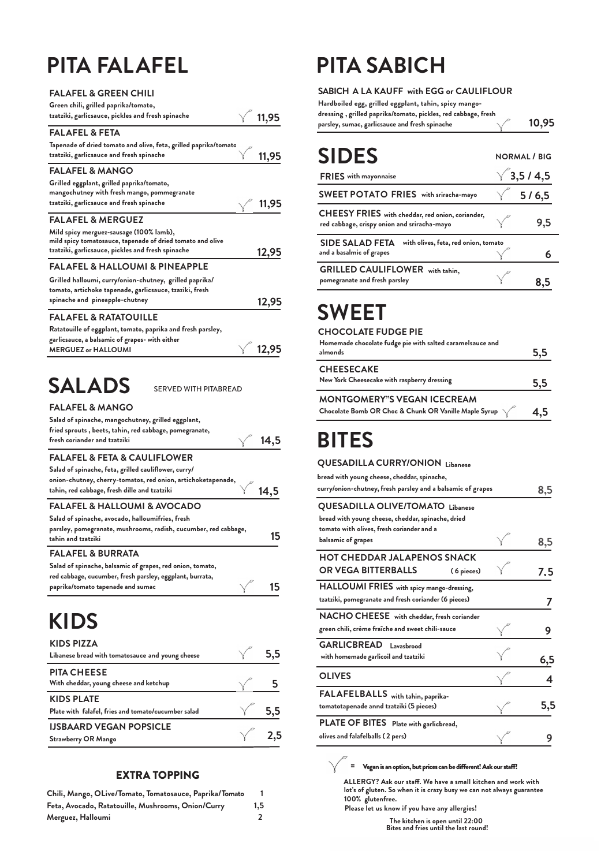## **PITA FALAFEL**

| <b>FALAFEL &amp; GREEN CHILI</b>                                                                                                                                                           |       |
|--------------------------------------------------------------------------------------------------------------------------------------------------------------------------------------------|-------|
| Green chili, grilled paprika/tomato,                                                                                                                                                       |       |
| tzatziki, garlicsauce, pickles and fresh spinache                                                                                                                                          | 11,95 |
| <b>FALAFEL &amp; FETA</b>                                                                                                                                                                  |       |
| Tapenade of dried tomato and olive, feta, grilled paprika/tomato<br>tzatziki, garlicsauce and fresh spinache                                                                               | 11,95 |
| <b>FALAFEL &amp; MANGO</b>                                                                                                                                                                 |       |
| Grilled eggplant, grilled paprika/tomato,<br>mangochutney with fresh mango, pommegranate<br>tzatziki, garlicsauce and fresh spinache                                                       | 11,95 |
|                                                                                                                                                                                            |       |
| <b>FALAFEL &amp; MERGUEZ</b><br>Mild spicy merguez-sausage (100% lamb),<br>mild spicy tomatosauce, tapenade of dried tomato and olive<br>tzatziki, garlicsauce, pickles and fresh spinache | 12,95 |
| <b>FALAFEL &amp; HALLOUMI &amp; PINEAPPLE</b>                                                                                                                                              |       |
| Grilled halloumi, curry/onion-chutney, grilled paprika/<br>tomato, artichoke tapenade, garlicsauce, tzaziki, fresh<br>spinache and pineapple-chutney                                       | 12,95 |
| <b>FALAFEL &amp; RATATOUILLE</b>                                                                                                                                                           |       |
| Ratatouille of eggplant, tomato, paprika and fresh parsley,<br>garlicsauce, a balsamic of grapes- with either<br><b>MERGUEZ or HALLOUMI</b>                                                | 12,95 |
| <b>SALADS</b><br><b>SERVED WITH PITABREAD</b>                                                                                                                                              |       |
| <b>FALAFEL &amp; MANGO</b>                                                                                                                                                                 |       |
| Salad of spinache, mangochutney, grilled eggplant,                                                                                                                                         |       |

| Salad of spinache, mangochutney, grilled eggplant,              |      |
|-----------------------------------------------------------------|------|
| fried sprouts, beets, tahin, red cabbage, pomegranate,          |      |
| fresh coriander and tzatziki                                    | 14,5 |
| <b>FALAFEL &amp; FETA &amp; CAULIFLOWER</b>                     |      |
| Salad of spinache, feta, grilled cauliflower, curry/            |      |
| onion-chutney, cherry-tomatos, red onion, artichoketapenade,    |      |
| tahin, red cabbage, fresh dille and tzatziki                    |      |
| <b>FALAFEL &amp; HALLOUMI &amp; AVOCADO</b>                     |      |
| Salad of spinache, avocado, halloumifries, fresh                |      |
| parsley, pomegranate, mushrooms, radish, cucumber, red cabbage, |      |
| tahin and tzatziki                                              | 15   |
| <b>FALAFEL &amp; BURRATA</b>                                    |      |
| Salad of spinache, balsamic of grapes, red onion, tomato,       |      |
| red cabbage, cucumber, fresh parsley, eggplant, burrata,        |      |
| paprika/tomato tapenade and sumac                               |      |

#### **KIDS**

| <b>KIDS PIZZA</b><br>Libanese bread with tomatosauce and young cheese    | 5,5            |
|--------------------------------------------------------------------------|----------------|
| <b>PITA CHEESE</b><br>With cheddar, young cheese and ketchup             |                |
| <b>KIDS PLATE</b><br>Plate with falafel, fries and tomato/cucumber salad | 5,5            |
| <b>IJSBAARD VEGAN POPSICLE</b><br><b>Strawberry OR Mango</b>             | $\sqrt{ }$ 2,5 |

#### **EXTRA TOPPING**

| Chili, Mango, OLive/Tomato, Tomatosauce, Paprika/Tomato |                  |
|---------------------------------------------------------|------------------|
| Feta, Avocado, Ratatouille, Mushrooms, Onion/Curry      | 1.5 <sub>1</sub> |
| Merguez, Halloumi                                       |                  |

## **PITA SABICH**

**SABICH A LA KAUFF with EGG or CAULIFLOUR 10,95 Hardboiled egg, grilled eggplant, tahin, spicy mangodressing , grilled paprika/tomato, pickles, red cabbage, fresh parsley, sumac, garlicsauce and fresh spinache**

| <b>SIDES</b>                                                                                    | <b>NORMAL</b> / BIG |
|-------------------------------------------------------------------------------------------------|---------------------|
| <b>FRIES</b> with mayonnaise                                                                    | $\sqrt{3,5/4,5}$    |
| <b>SWEET POTATO FRIES</b> with sriracha-mayo                                                    | 5/6,5               |
| CHEESY FRIES with cheddar, red onion, coriander,<br>red cabbage, crispy onion and sriracha-mayo | 9.5                 |
| <b>SIDE SALAD FETA</b><br>with olives, feta, red onion, tomato<br>and a basalmic of grapes      |                     |
| <b>GRILLED CAULIFLOWER</b><br>with tahin,<br>pomegranate and fresh parsley                      |                     |

#### **SWEET**

#### **CHOCOLATE FUDGE PIE**

| Homemade chocolate fudge pie with salted caramelsauce and<br>almonds                                             | 5,5 |
|------------------------------------------------------------------------------------------------------------------|-----|
| <b>CHEESECAKE</b><br>New York Cheesecake with raspberry dressing                                                 | 5.5 |
| <b>MONTGOMERY"S VEGAN ICECREAM</b><br>Chocolate Bomb OR Choc & Chunk OR Vanille Maple Syrup $\sqrt{\phantom{a}}$ | 4.5 |

#### **BITES**

#### **QUESADILLA CURRY/ONION Libanese**

| bread with young cheese, cheddar, spinache,<br>curry/onion-chutney, fresh parsley and a balsamic of grapes                                | 8,5 |
|-------------------------------------------------------------------------------------------------------------------------------------------|-----|
| <b>QUESADILLA OLIVE/TOMATO Libanese</b><br>bread with young cheese, cheddar, spinache, dried<br>tomato with olives, fresh coriander and a |     |
| balsamic of grapes                                                                                                                        | 8,5 |
| <b>HOT CHEDDAR JALAPENOS SNACK</b><br><b>OR VEGA BITTERBALLS</b><br>(6 pieces)                                                            | 7.5 |
| HALLOUMI FRIES with spicy mango-dressing,<br>tzatziki, pomegranate and fresh coriander (6 pieces)                                         |     |
| NACHO CHEESE with cheddar, fresh coriander<br>green chili, crème fraîche and sweet chili-sauce                                            |     |
| <b>GARLICBREAD</b> Lavashrood<br>with homemade garlicoil and tzatziki                                                                     | 6,5 |
| <b>OLIVES</b>                                                                                                                             | Δ   |
| FALAFELBALLS with tahin, paprika-<br>tomatotapenade annd tzatziki (5 pieces)                                                              | 5,5 |
| PLATE OF BITES Plate with garlicbread,<br>olives and falafelballs (2 pers)                                                                |     |

 $=$  Vegan is an option, but prices can be different! Ask our staff!

**ALLERGY? Ask our sta!. We have a small kitchen and work with lot's of gluten. So when it is crazy busy we can not always guarantee 100% glutenfree.**

**Please let us know if you have any allergies!**

**The kitchen is open until 22:00 Bites and fries until the last round!**